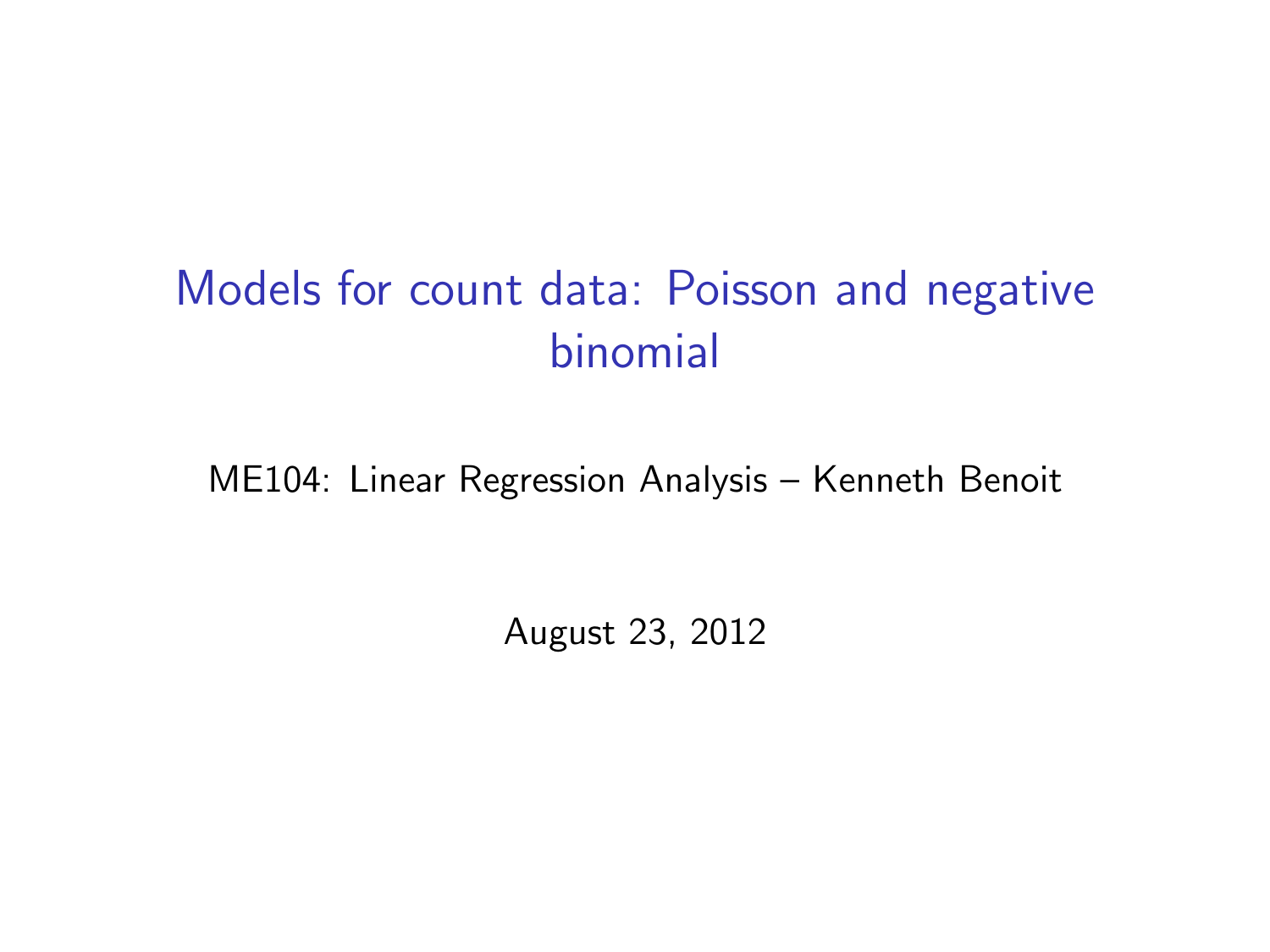# Models for count data: Poisson and negative binomial

ME104: Linear Regression Analysis – Kenneth Benoit

August 23, 2012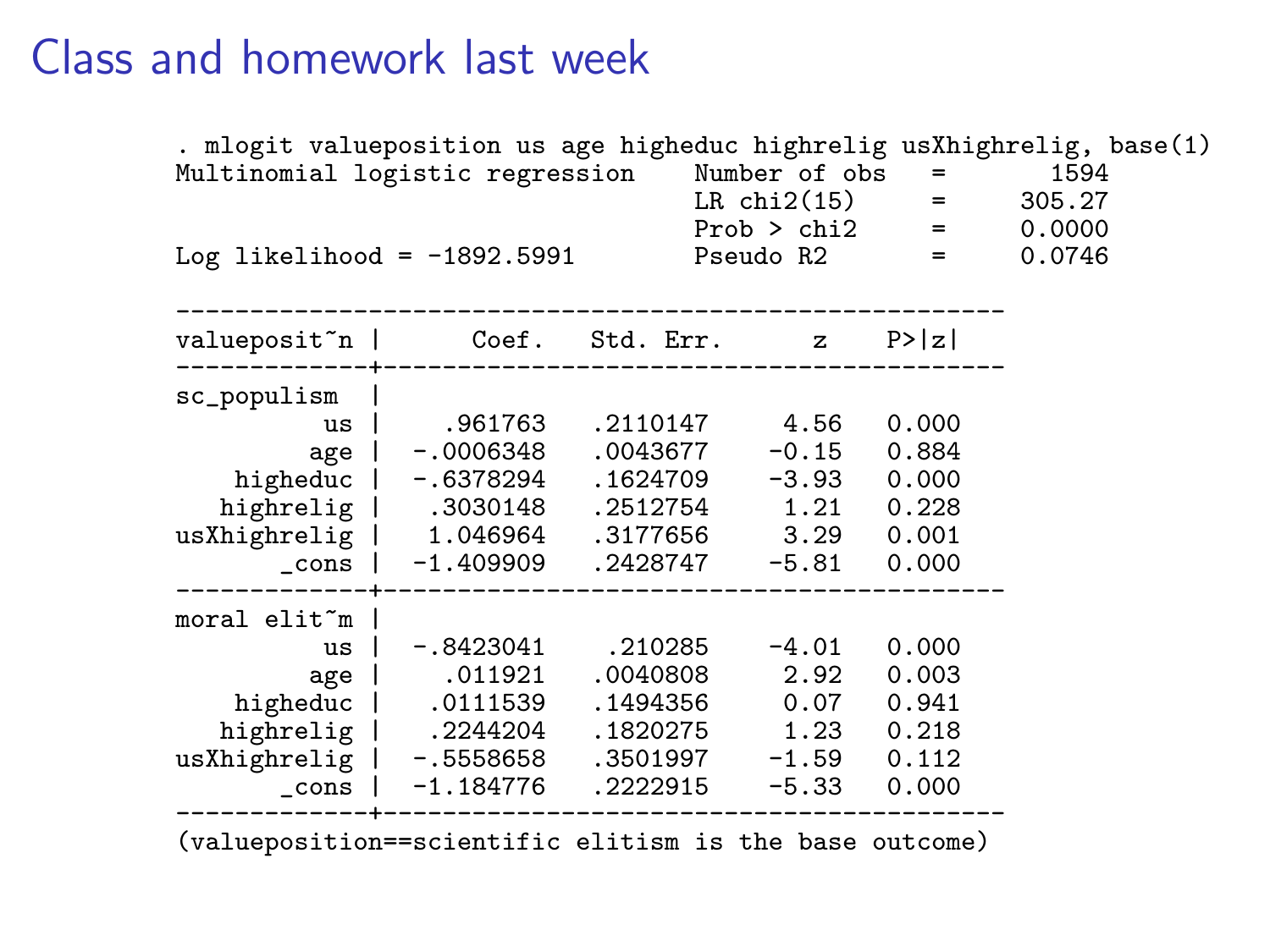. mlogit valueposition us age higheduc highrelig usXhighrelig, base(1) Multinomial logistic regression Number of obs = 1594 LR chi2(15) = 305.27 Prob > chi2 = 0.0000 Log likelihood = -1892.5991 Pseudo R2 = 0.0746 -------------------------------------------------------- valueposit~n | Coef. Std. Err. z P>|z| -------------+----------------------------------------- sc\_populism | us | .961763 .2110147 4.56 0.000 age | -.0006348 .0043677 -0.15 0.884<br>higheduc | -.6378294 .1624709 -3.93 0.000<br>highrelig | .3030148 .2512754 1.21 0.228<br>usXhighrelig | 1.046964 .3177656 3.29 0.001 \_cons | -1.409909 .2428747 -5.81 0.000 -------------+----------------------------------------- moral elit~m | us | -.8423041 .210285 -4.01 0.000 age | .011921 .0040808 2.92 0.003 higheduc | .0111539 .1494356 0.07 0.941 highrelig | .2244204 .1820275 1.23 0.218 usXhighrelig | -.5558658 .3501997 -1.59 0.112 \_cons | -1.184776 .2222915 -5.33 0.000 -------------+------------------------------------------ (valueposition==scientific elitism is the base outcome)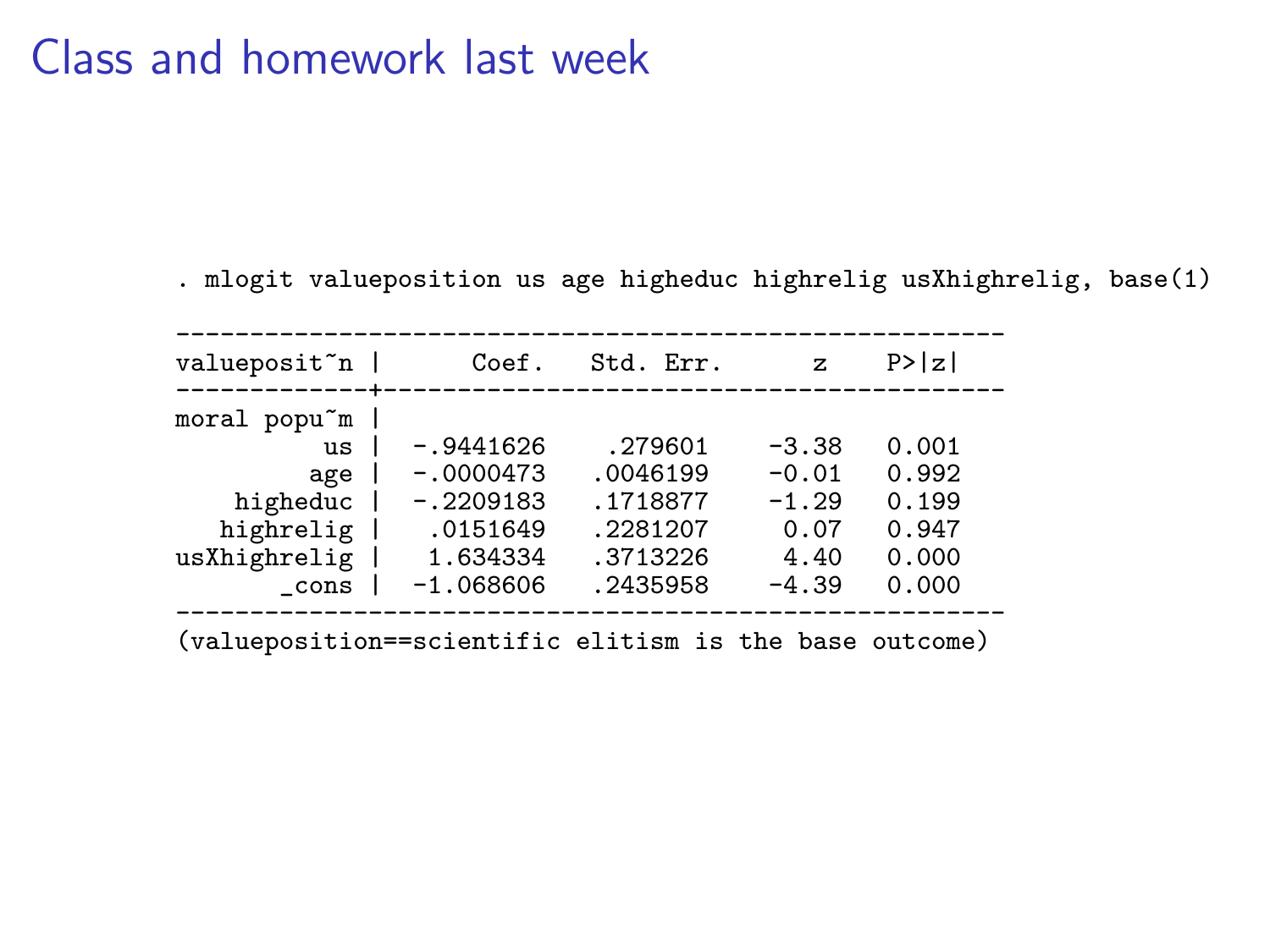. mlogit valueposition us age higheduc highrelig usXhighrelig, base(1)

| valueposit~n                                            | Coef.       | Std. Err. | z       | P >  z |  |
|---------------------------------------------------------|-------------|-----------|---------|--------|--|
| moral popu~m                                            |             |           |         |        |  |
| $\overline{\text{u}}\text{s}$                           | $-.9441626$ | .279601   | $-3.38$ | 0.001  |  |
| age                                                     | $-.0000473$ | .0046199  | $-0.01$ | 0.992  |  |
| higheduc                                                | $-.2209183$ | .1718877  | $-1.29$ | 0.199  |  |
| highrelig                                               | .0151649    | .2281207  | 0.07    | 0.947  |  |
| usXhighrelig                                            | 1.634334    | .3713226  | 4.40    | 0.000  |  |
| cons                                                    | $-1.068606$ | .2435958  | $-4.39$ | 0.000  |  |
| (valueposition==scientific elitism is the base outcome) |             |           |         |        |  |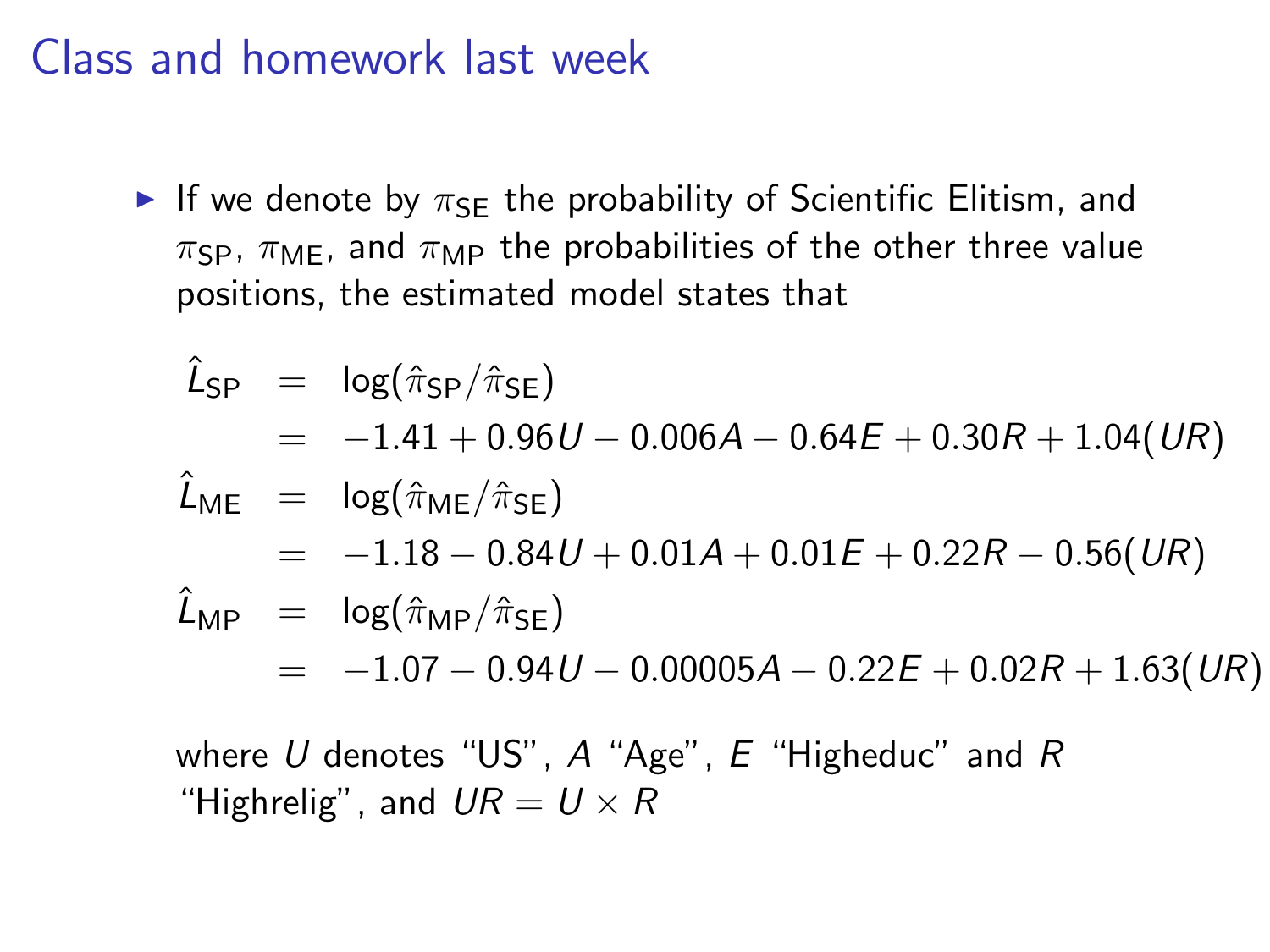If we denote by  $\pi_{SF}$  the probability of Scientific Elitism, and  $\pi_{\rm SP}$ ,  $\pi_{\rm MF}$ , and  $\pi_{\rm MP}$  the probabilities of the other three value positions, the estimated model states that

$$
\hat{L}_{SP} = \log(\hat{\pi}_{SP}/\hat{\pi}_{SE})
$$
\n
$$
= -1.41 + 0.96U - 0.006A - 0.64E + 0.30R + 1.04(UR)
$$
\n
$$
\hat{L}_{ME} = \log(\hat{\pi}_{ME}/\hat{\pi}_{SE})
$$
\n
$$
= -1.18 - 0.84U + 0.01A + 0.01E + 0.22R - 0.56(UR)
$$
\n
$$
\hat{L}_{MP} = \log(\hat{\pi}_{MP}/\hat{\pi}_{SE})
$$
\n
$$
= -1.07 - 0.94U - 0.00005A - 0.22E + 0.02R + 1.63(UR)
$$

where U denotes "US",  $A$  "Age",  $E$  "Higheduc" and  $R$ "Highrelig", and  $UR = U \times R$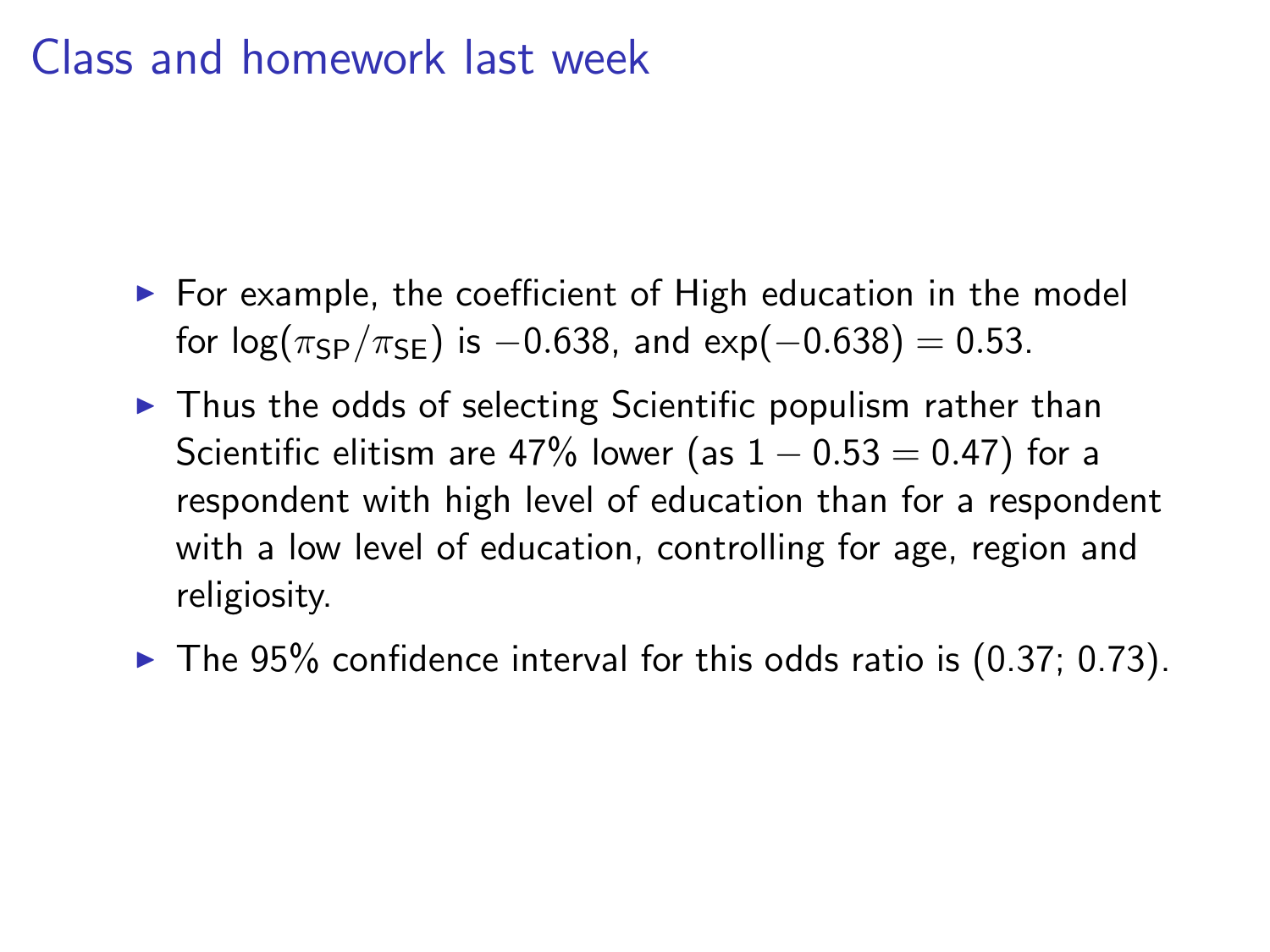- $\triangleright$  For example, the coefficient of High education in the model for  $log(\pi_{SP}/\pi_{SE})$  is  $-0.638$ , and exp( $-0.638$ ) = 0.53.
- $\triangleright$  Thus the odds of selecting Scientific populism rather than Scientific elitism are 47% lower (as  $1 - 0.53 = 0.47$ ) for a respondent with high level of education than for a respondent with a low level of education, controlling for age, region and religiosity.
- $\blacktriangleright$  The 95% confidence interval for this odds ratio is (0.37; 0.73).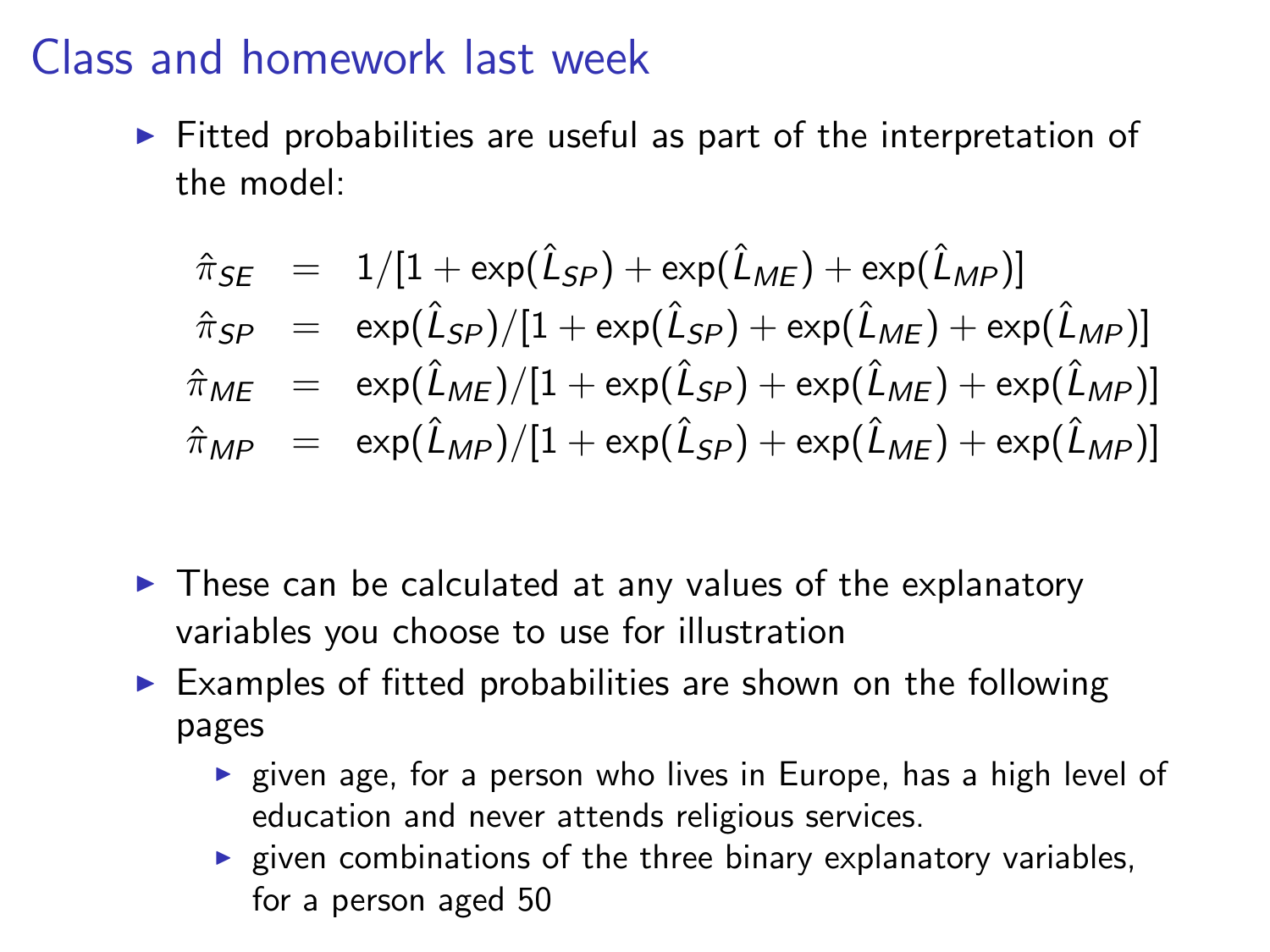$\triangleright$  Fitted probabilities are useful as part of the interpretation of the model:

$$
\hat{\pi}_{SE} = 1/[1 + \exp(\hat{L}_{SP}) + \exp(\hat{L}_{ME}) + \exp(\hat{L}_{MP})]
$$
\n
$$
\hat{\pi}_{SP} = \exp(\hat{L}_{SP})/[1 + \exp(\hat{L}_{SP}) + \exp(\hat{L}_{ME}) + \exp(\hat{L}_{MP})]
$$
\n
$$
\hat{\pi}_{ME} = \exp(\hat{L}_{ME})/[1 + \exp(\hat{L}_{SP}) + \exp(\hat{L}_{ME}) + \exp(\hat{L}_{MP})]
$$
\n
$$
\hat{\pi}_{MP} = \exp(\hat{L}_{MP})/[1 + \exp(\hat{L}_{SP}) + \exp(\hat{L}_{ME}) + \exp(\hat{L}_{MP})]
$$

- $\triangleright$  These can be calculated at any values of the explanatory variables you choose to use for illustration
- $\triangleright$  Examples of fitted probabilities are shown on the following pages
	- $\triangleright$  given age, for a person who lives in Europe, has a high level of education and never attends religious services.
	- $\blacktriangleright$  given combinations of the three binary explanatory variables, for a person aged 50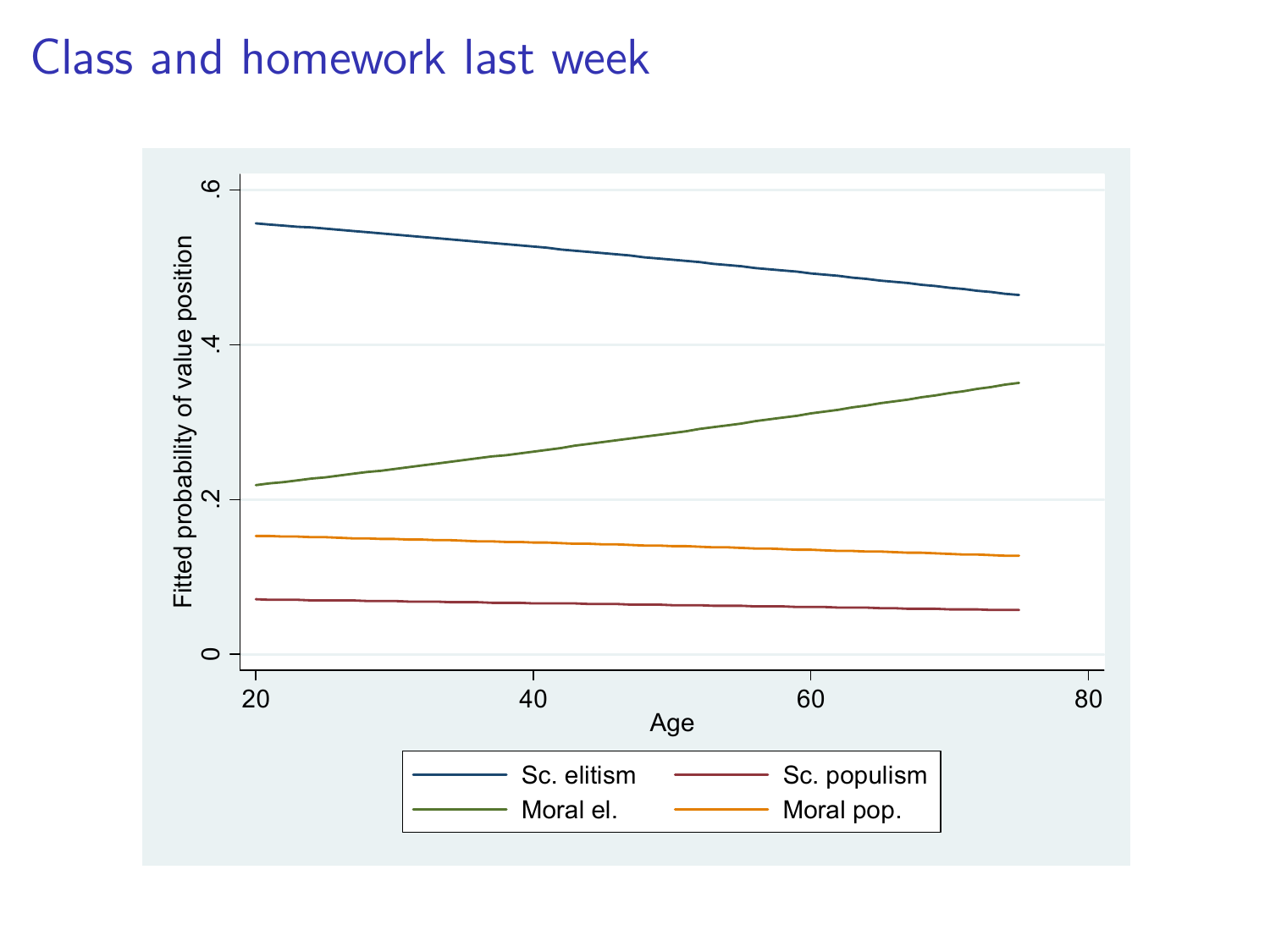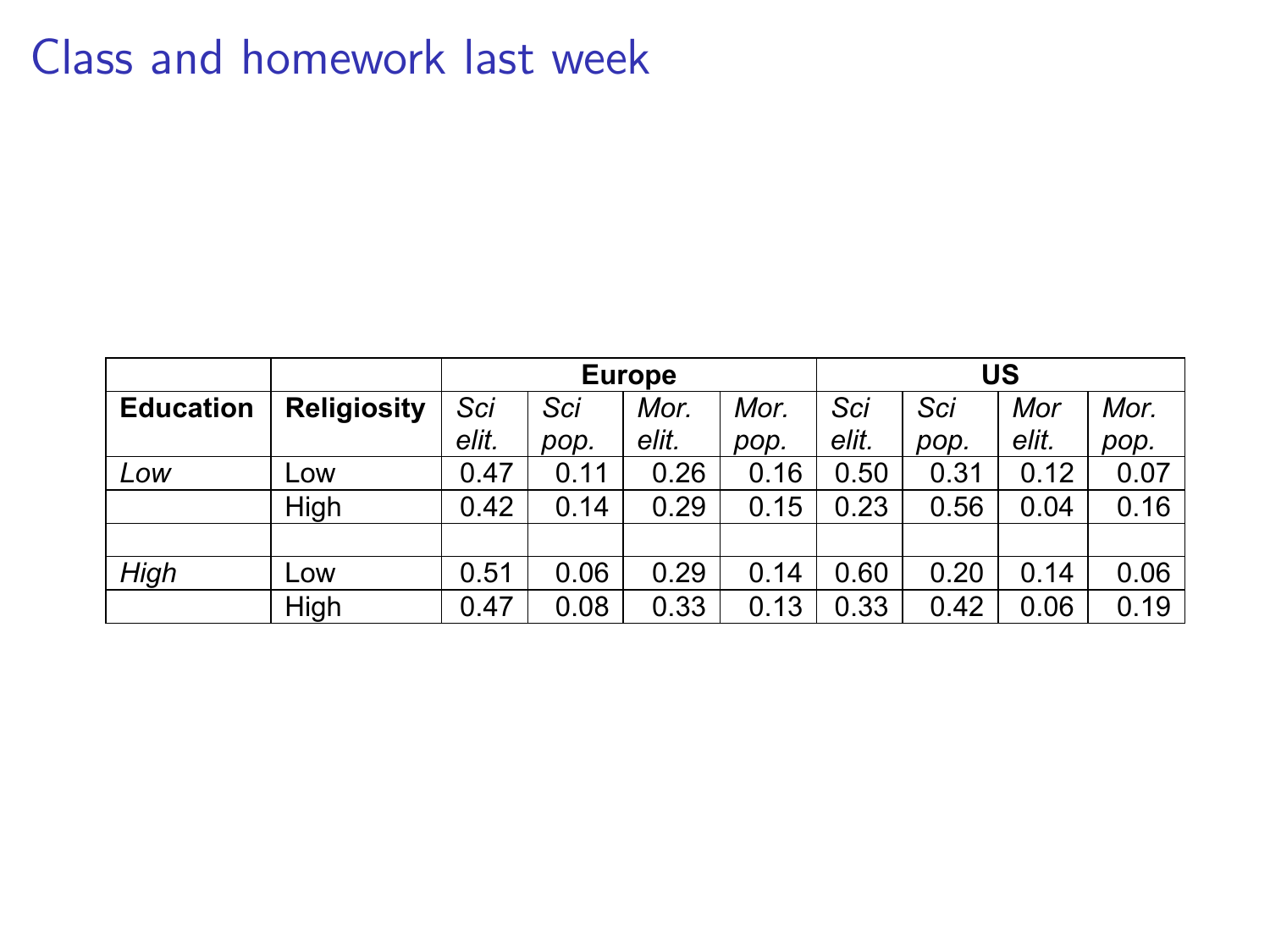|                  |                    | <b>Europe</b> |      |       |      | บร    |      |       |      |
|------------------|--------------------|---------------|------|-------|------|-------|------|-------|------|
| <b>Education</b> | <b>Religiosity</b> | Sci           | Sci  | Mor.  | Mor. | Sci   | Sci  | Mor   | Mor. |
|                  |                    | elit.         | pop. | elit. | pop. | elit. | pop. | elit. | pop. |
| Low              | Low                | 0.47          | 0.11 | 0.26  | 0.16 | 0.50  | 0.31 | 0.12  | 0.07 |
|                  | High               | 0.42          | 0.14 | 0.29  | 0.15 | 0.23  | 0.56 | 0.04  | 0.16 |
|                  |                    |               |      |       |      |       |      |       |      |
| Hiah             | Low                | 0.51          | 0.06 | 0.29  | 0.14 | 0.60  | 0.20 | 0.14  | 0.06 |
|                  | High               | 0.47          | 0.08 | 0.33  | 0.13 | 0.33  | 0.42 | 0.06  | 0.19 |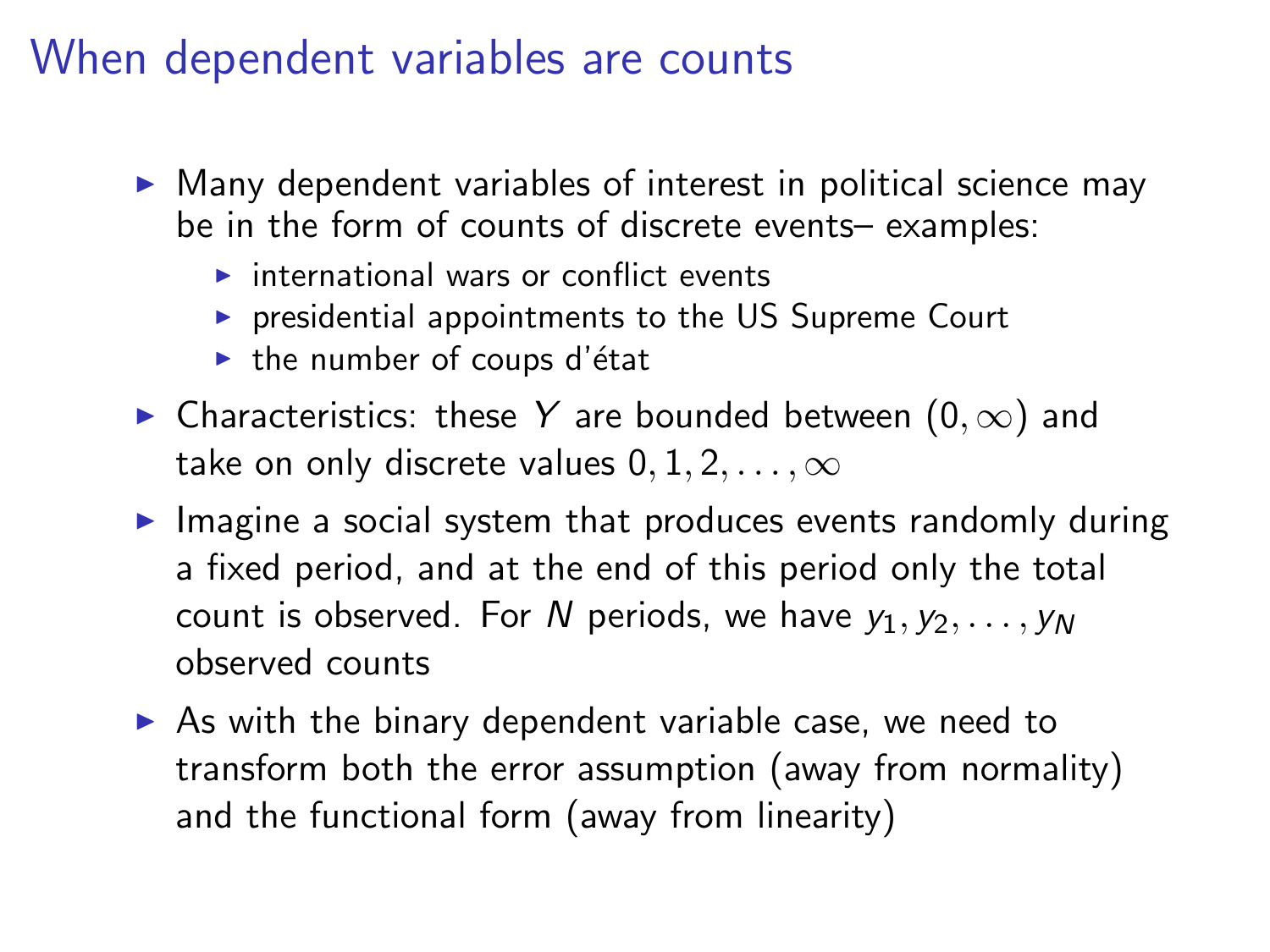### When dependent variables are counts

- $\triangleright$  Many dependent variables of interest in political science may be in the form of counts of discrete events– examples:
	- $\triangleright$  international wars or conflict events
	- $\triangleright$  presidential appointments to the US Supreme Court
	- $\blacktriangleright$  the number of coups d'état
- $\triangleright$  Characteristics: these Y are bounded between  $(0, \infty)$  and take on only discrete values  $0, 1, 2, \ldots, \infty$
- $\blacktriangleright$  Imagine a social system that produces events randomly during a fixed period, and at the end of this period only the total count is observed. For N periods, we have  $y_1, y_2, \ldots, y_N$ observed counts
- $\triangleright$  As with the binary dependent variable case, we need to transform both the error assumption (away from normality) and the functional form (away from linearity)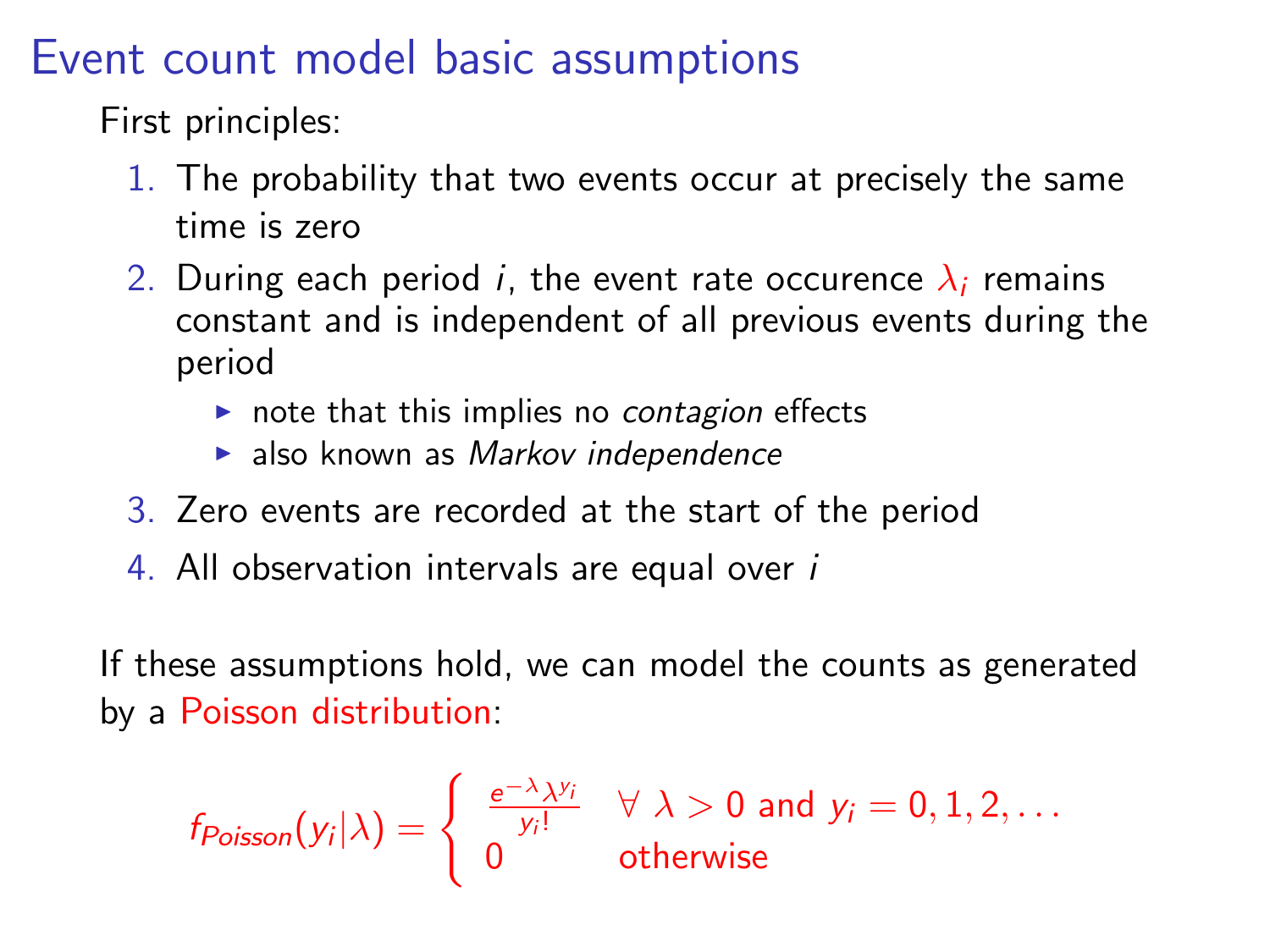### Event count model basic assumptions

First principles:

- 1. The probability that two events occur at precisely the same time is zero
- 2. During each period *i*, the event rate occurence  $\lambda_i$  remains constant and is independent of all previous events during the period
	- $\triangleright$  note that this implies no *contagion* effects
	- $\blacktriangleright$  also known as Markov independence
- 3. Zero events are recorded at the start of the period
- 4. All observation intervals are equal over i

If these assumptions hold, we can model the counts as generated by a Poisson distribution:

$$
f_{Poisson}(y_i|\lambda) = \begin{cases} \frac{e^{-\lambda}\lambda^{y_i}}{y_i!} & \forall \lambda > 0 \text{ and } y_i = 0, 1, 2, \dots \\ 0 & \text{otherwise} \end{cases}
$$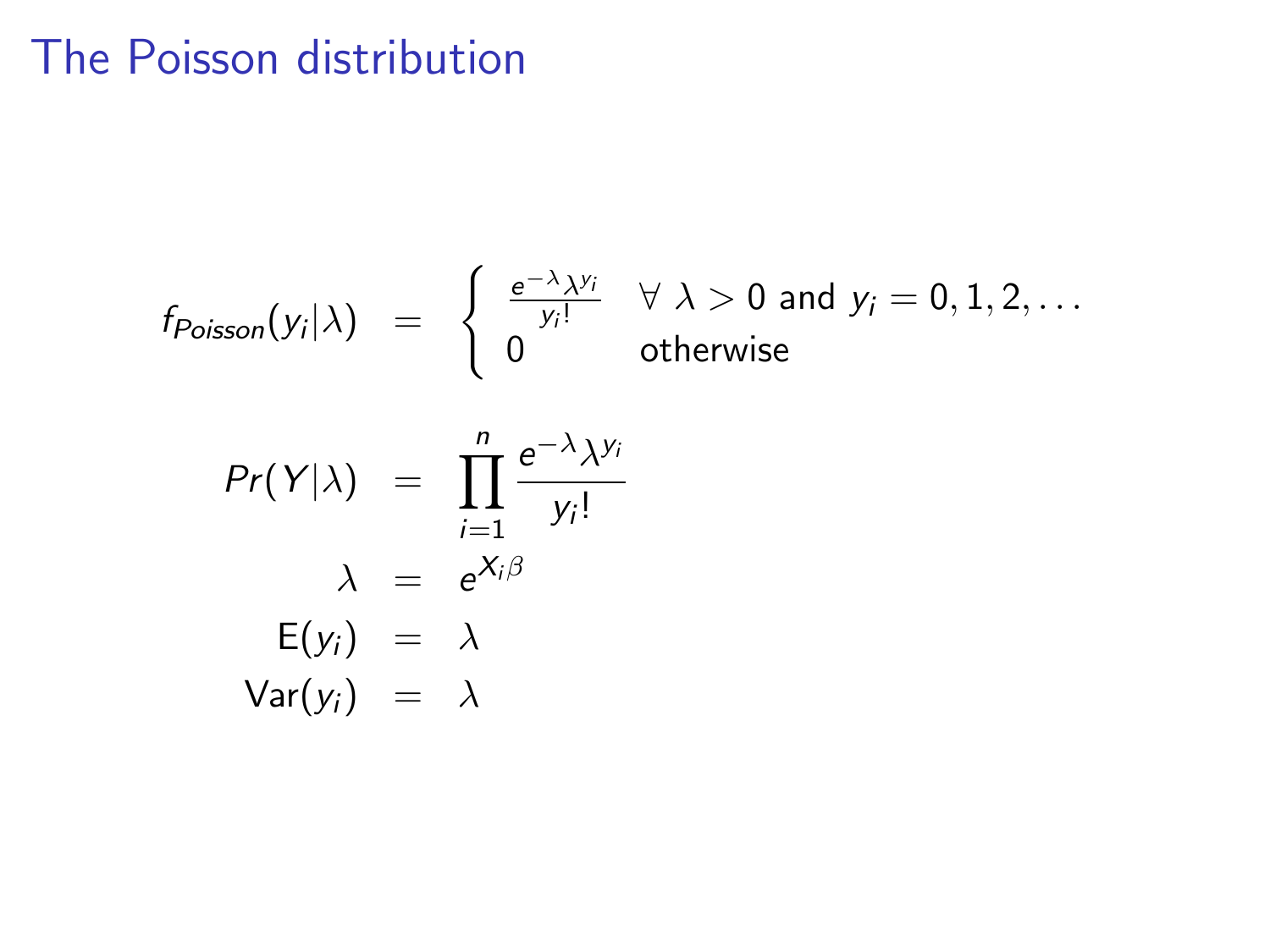# The Poisson distribution

$$
f_{Poisson}(y_i|\lambda) = \begin{cases} \frac{e^{-\lambda}\lambda^{y_i}}{y_i!} & \forall \lambda > 0 \text{ and } y_i = 0, 1, 2, \dots \\ 0 & \text{otherwise} \end{cases}
$$

$$
Pr(Y|\lambda) = \prod_{i=1}^{n} \frac{e^{-\lambda}\lambda^{y_i}}{y_i!}
$$

$$
\lambda = e^{X_i \beta}
$$

$$
E(y_i) = \lambda
$$

$$
Var(y_i) = \lambda
$$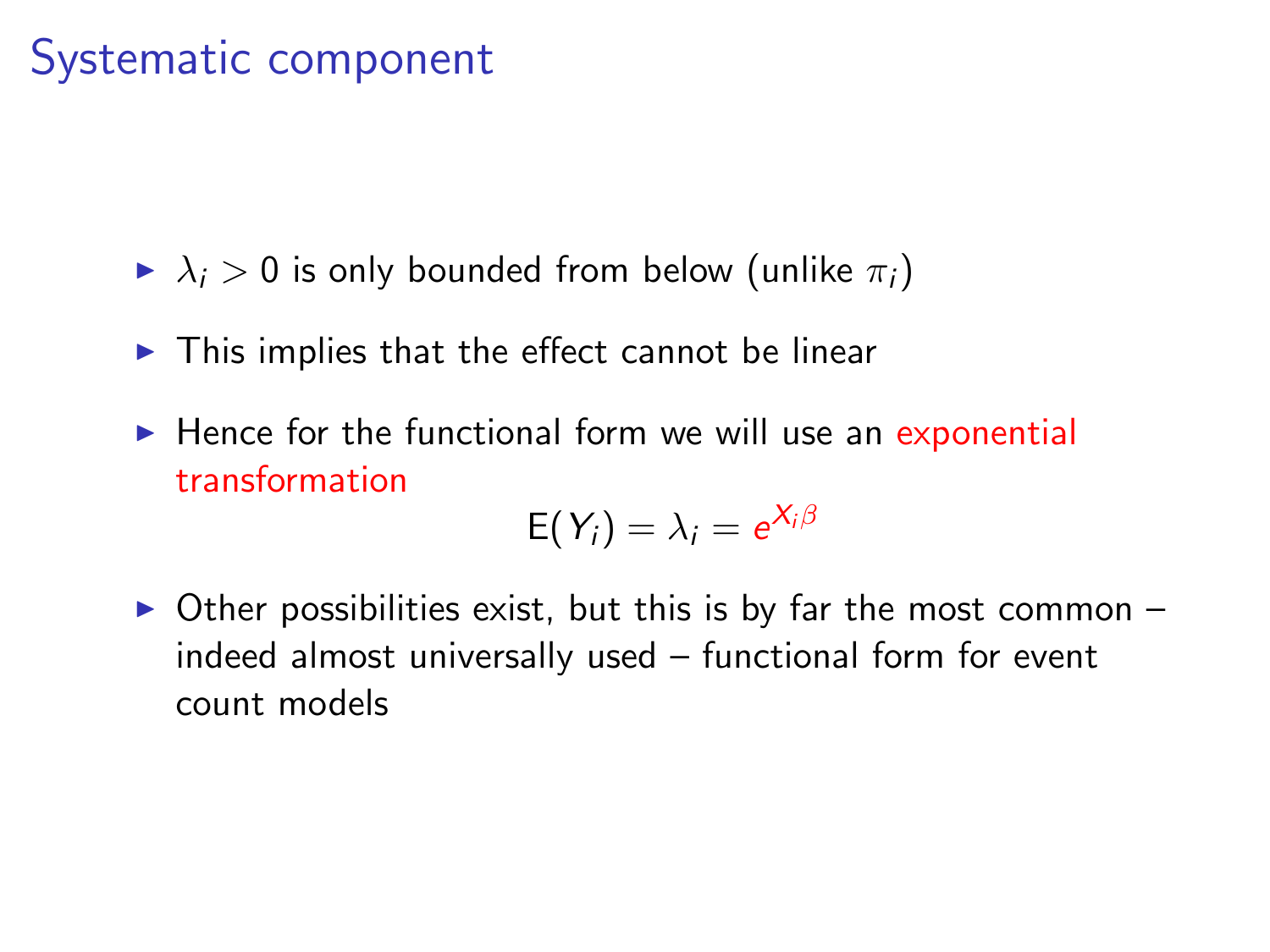## Systematic component

- $\blacktriangleright \lambda_i > 0$  is only bounded from below (unlike  $\pi_i$ )
- $\blacktriangleright$  This implies that the effect cannot be linear
- $\blacktriangleright$  Hence for the functional form we will use an exponential transformation

$$
E(Y_i) = \lambda_i = e^{X_i \beta}
$$

 $\triangleright$  Other possibilities exist, but this is by far the most common – indeed almost universally used – functional form for event count models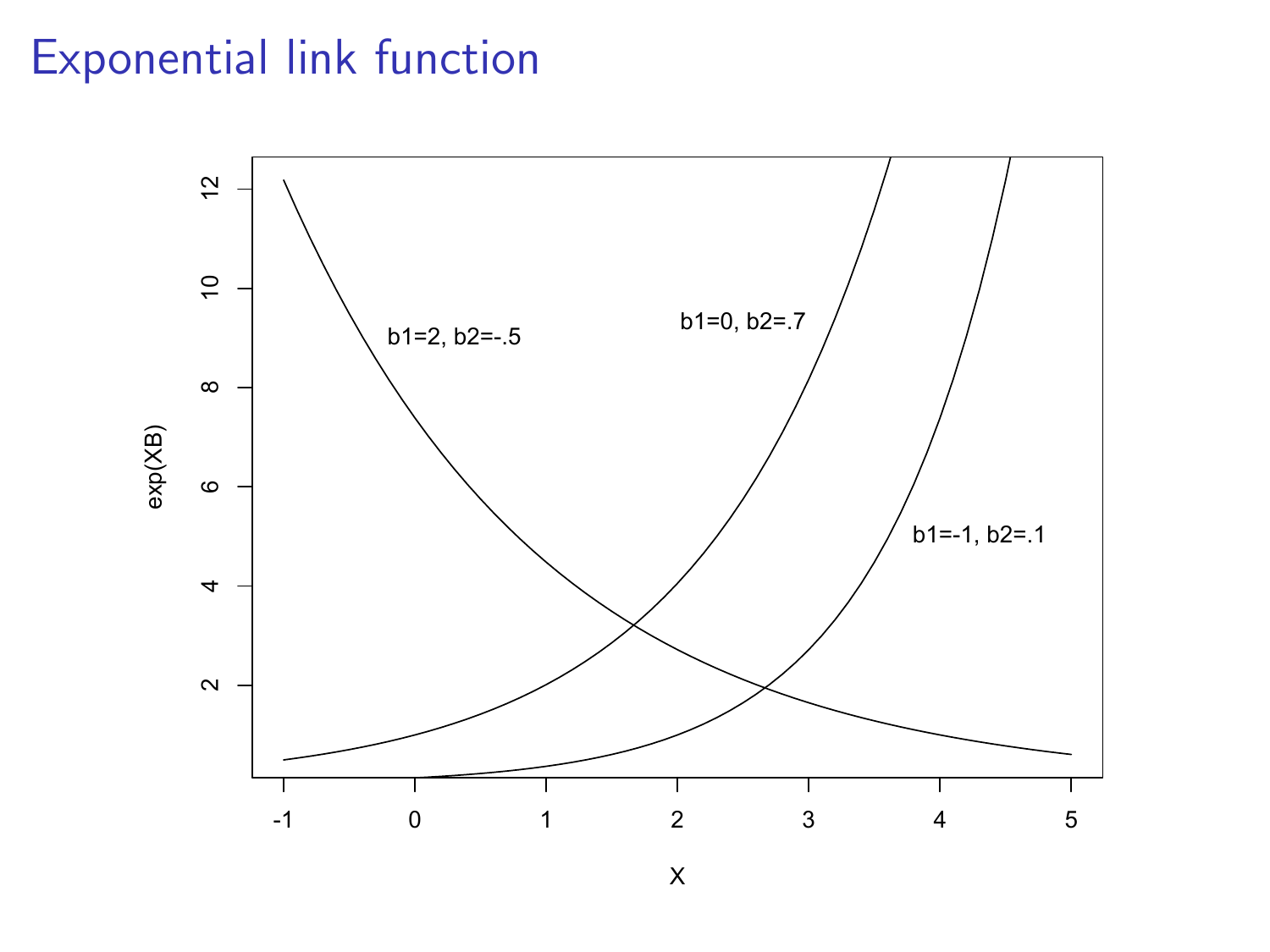## Exponential link function



X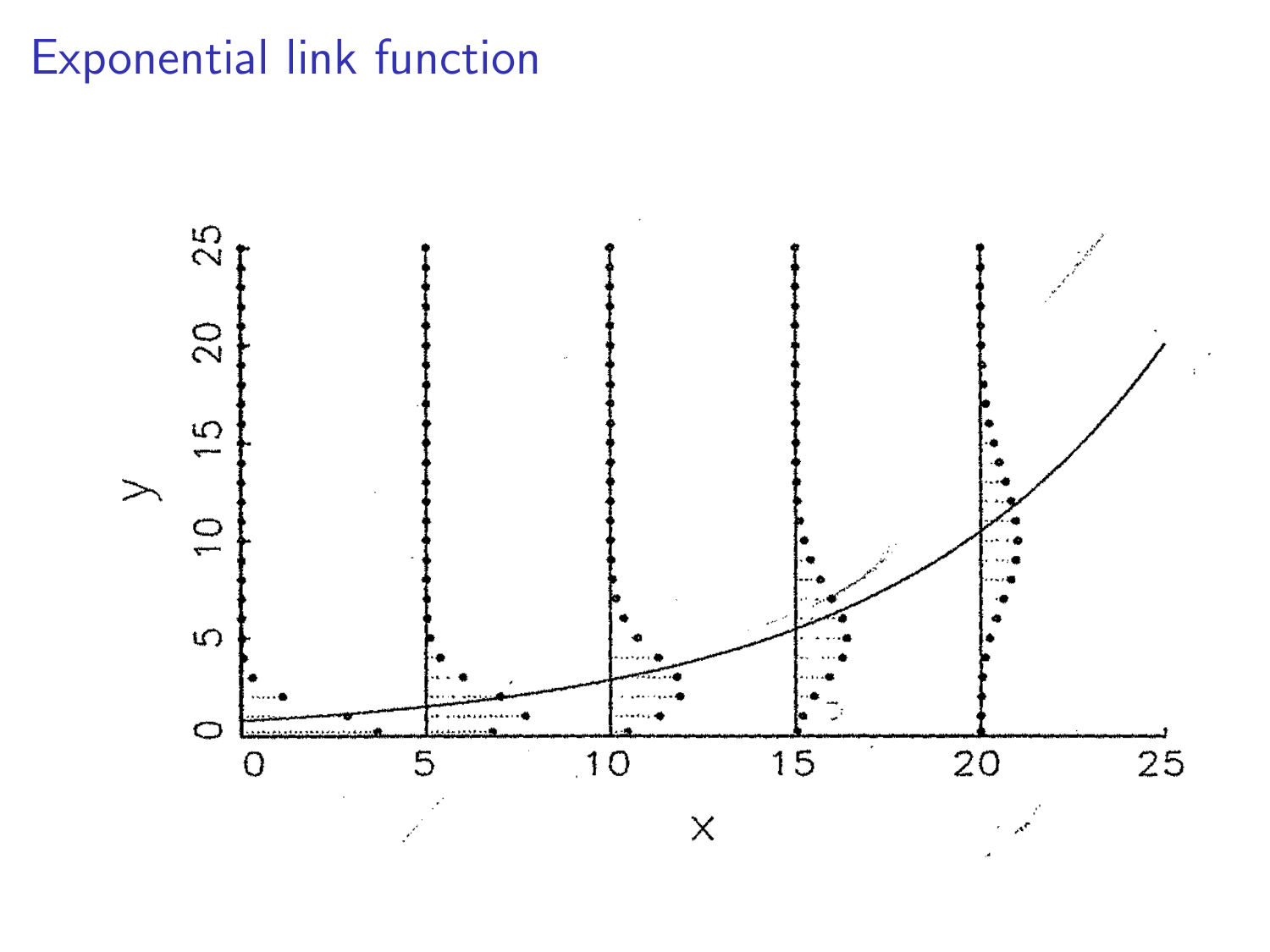# Exponential link function

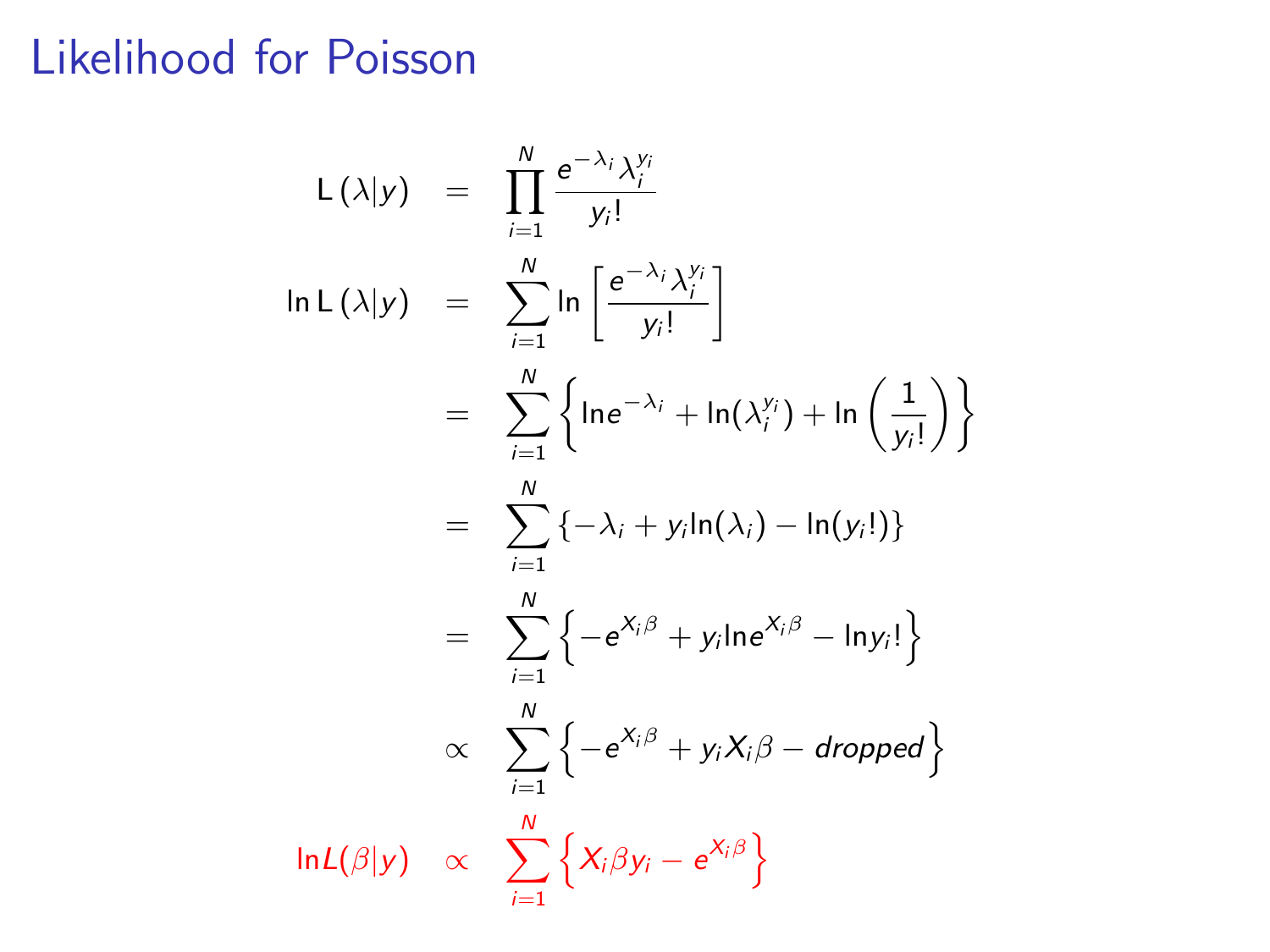# Likelihood for Poisson

$$
L(\lambda|y) = \prod_{i=1}^{N} \frac{e^{-\lambda_i} \lambda_i^{y_i}}{y_i!}
$$
  
\n
$$
\ln L(\lambda|y) = \sum_{i=1}^{N} \ln \left[ \frac{e^{-\lambda_i} \lambda_i^{y_i}}{y_i!} \right]
$$
  
\n
$$
= \sum_{i=1}^{N} \left\{ \ln e^{-\lambda_i} + \ln(\lambda_i^{y_i}) + \ln \left( \frac{1}{y_i!} \right) \right\}
$$
  
\n
$$
= \sum_{i=1}^{N} \left\{ -\lambda_i + y_i \ln(\lambda_i) - \ln(y_i!) \right\}
$$
  
\n
$$
= \sum_{i=1}^{N} \left\{ -e^{X_i \beta} + y_i \ln e^{X_i \beta} - \ln y_i! \right\}
$$
  
\n
$$
\propto \sum_{i=1}^{N} \left\{ -e^{X_i \beta} + y_i X_i \beta - dropped \right\}
$$
  
\n
$$
\ln L(\beta|y) \propto \sum_{i=1}^{N} \left\{ X_i \beta y_i - e^{X_i \beta} \right\}
$$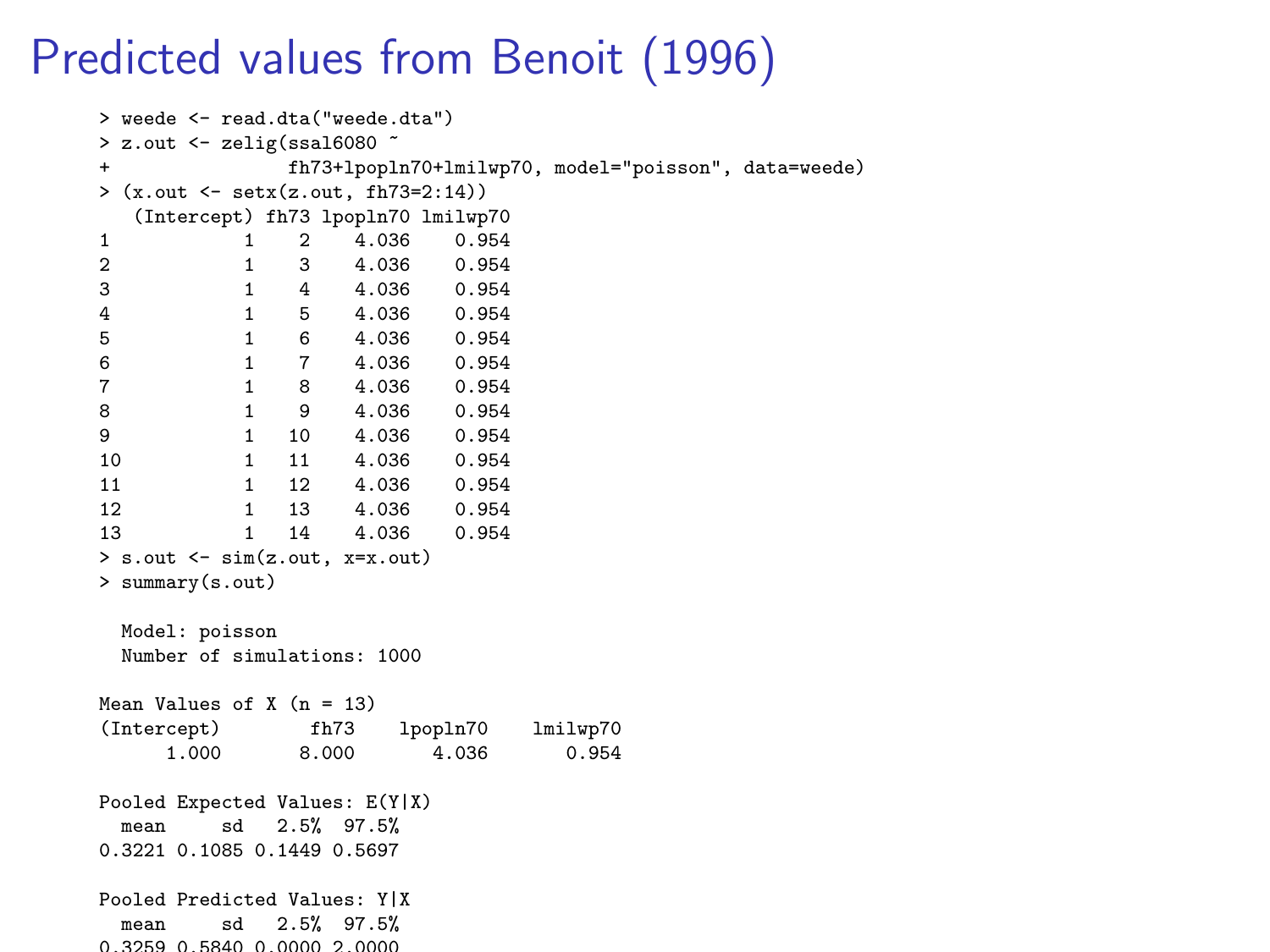## Predicted values from Benoit (1996)

```
> weede <- read.dta("weede.dta")
> z.out \le zelig(ssal6080 \le + fh73+lpopl
               + fh73+lpopln70+lmilwp70, model="poisson", data=weede)
> (x.out <- setx(z.out, fh73=2:14))
   (Intercept) fh73 lpopln70 lmilwp70
1 1 2 4.036 0.954<br>2 1 3 4.036 0.954
2 1 3 4.036 0.954<br>3 1 4 4.036 0.954
3 1 4 4.036 0.954
4 1 5 4.036 0.954<br>5 1 6 4.036 0.954
5 1 6 4.036 0.954
6 1 7 4.036 0.954
7 1 8 4.036 0.954
8 1 9 4.036 0.954<br>9 1 10 4.036 0.954
                   4.036 0.954
10 1 11 4.036 0.954<br>11 1 12 4.036 0.954
                  4.036 0.954
12 1 13 4.036 0.954<br>13 1 14 4.036 0.954
                    4.036 0.954
> s.out <- sim(z.out, x=x.out)
> summary(s.out)
 Model: poisson
 Number of simulations: 1000
Mean Values of X (n = 13)(Intercept) fh73 lpopln70 lmilwp70
     1.000 8.000 4.036 0.954
Pooled Expected Values: E(Y|X)
 mean sd 2.5% 97.5%
0.3221 0.1085 0.1449 0.5697
Pooled Predicted Values: Y|X
 mean sd 2.5% 97.5%
0.3259 0.5840 0.0000 2.0000
```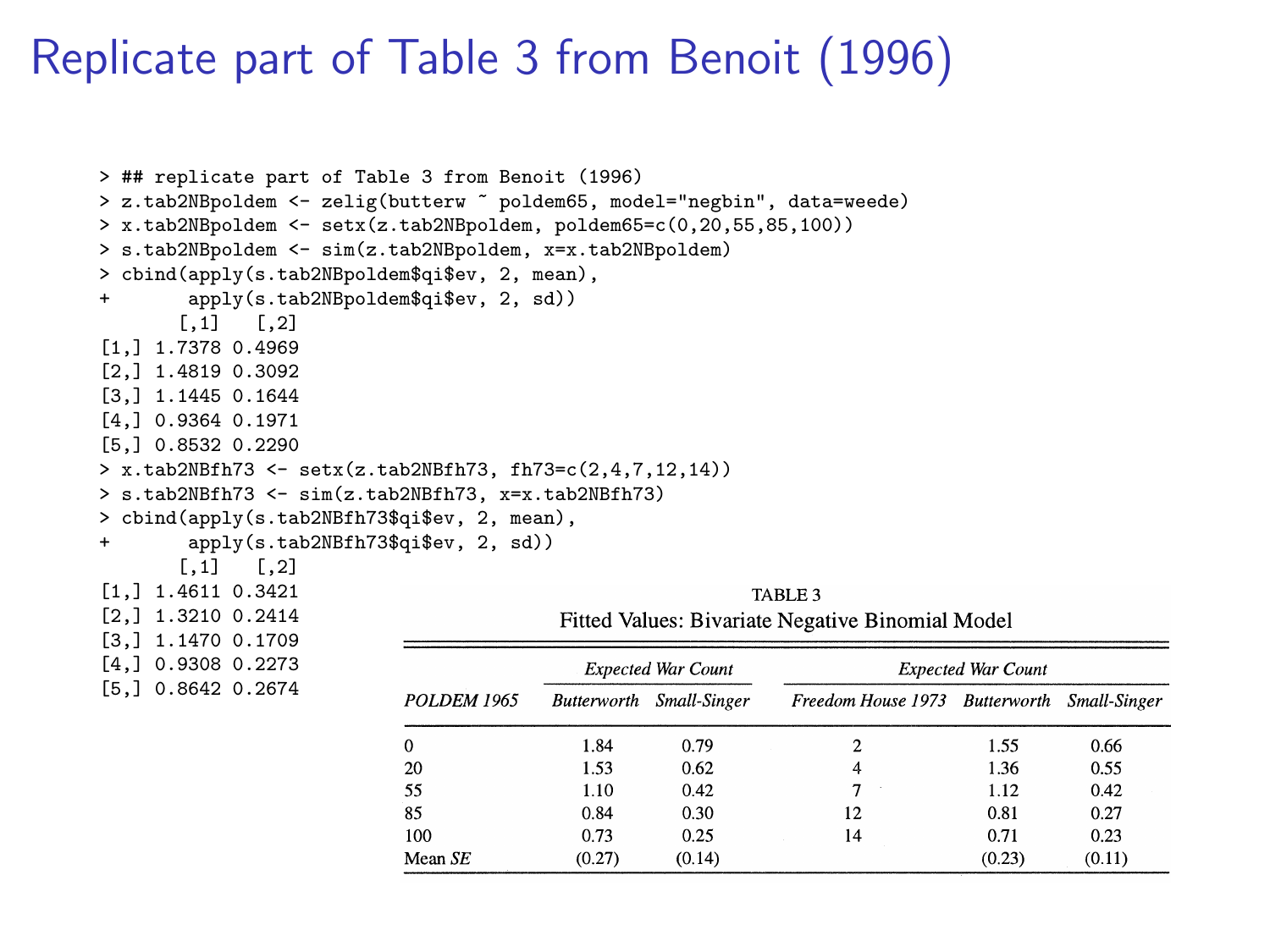#### Replicate part of Table 3 from Benoit (1996)

```
> ## replicate part of Table 3 from Benoit (1996)
> z.tab2NBpoldem <- zelig(butterw ~ poldem65, model="negbin", data=weede)
\geq x.tab2NBpoldem \leq -\text{setx}(z.\text{tab2NBpolden}, \text{poldem65=c}(0.20.55, 85, 100))> s.tab2NBpoldem <- sim(z.tab2NBpoldem, x=x.tab2NBpoldem)
> cbind(apply(s.tab2NBpoldem$qi$ev, 2, mean),
      apply(s.tab2NBpoldem\qijkev, 2, sd)<br>[,1] [,2]
           [,2]
[1,] 1.7378 0.4969
[2,] 1.4819 0.3092
[3,] 1.1445 0.1644
[4,] 0.9364 0.1971
[5,] 0.8532 0.2290
> x.tab2NBfh73 <- setx(z.tab2NBfh73, fh73=c(2,4,7,12,14))
> s.tab2NBfh73 <- sim(z.tab2NBfh73, x=x.tab2NBfh73)
> cbind(apply(s.tab2NBfh73$qi$ev, 2, mean),
+ apply(s.tab2NBfh73$qi$ev, 2, sd))
      [0,1] [0,2][1,] 1.4611 0.3421
[2,] 1.3210 0.2414
[3,] 1.1470 0.1709
[4,] 0.9308 0.2273
[5,] 0.8642 0.2674
                                                     TABLE 3 
                                     Fitted Values: Bivariate Negative Binomial Model 
                                       Expected War Count Expected War Count 
                         POLDEM 1965 Butterworth Small-Singer Freedom House 1973 Butterworth Small-Singer 
                         0 1.84 0.79 2 1.55 0.66 
                         20 1.53 0.62 4 1.36 0.55 
                         55 1.10 0.42 7 1.12 0.42 
                         85 0.84 0.30 12 0.81 0.27
```
**100 0.73 0.25 14 0.71 0.23 Mean SE** (0.27) (0.14) (0.23) (0.11)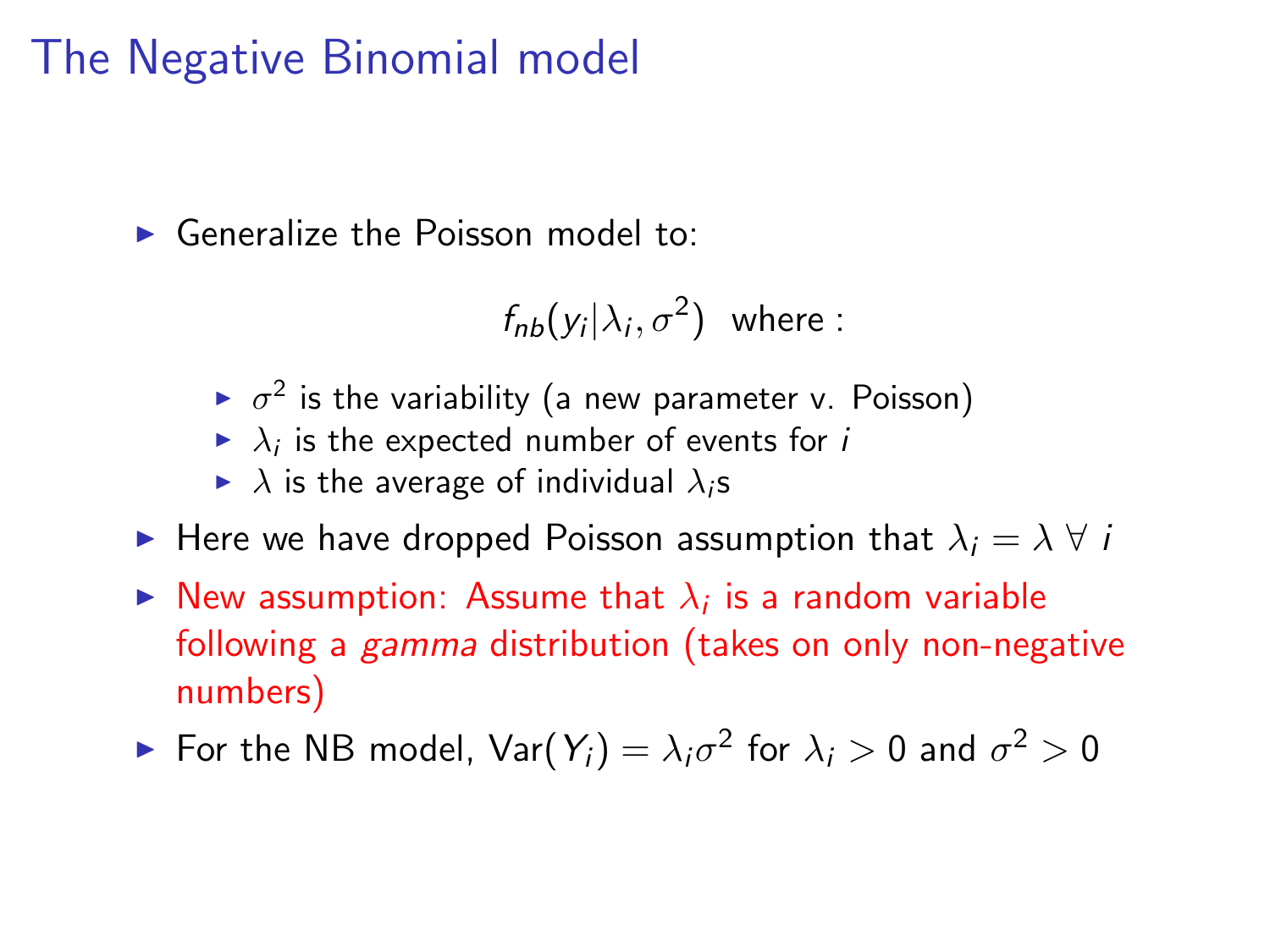## The Negative Binomial model

 $\blacktriangleright$  Generalize the Poisson model to:

 $f_{nb}(y_i|\lambda_i,\sigma^2)$  where :

- $\triangleright$   $\sigma^2$  is the variability (a new parameter v. Poisson)
- $\blacktriangleright$   $\lambda_i$  is the expected number of events for i
- $\blacktriangleright$   $\lambda$  is the average of individual  $\lambda_i$ s
- $\triangleright$  Here we have dropped Poisson assumption that  $\lambda_i = \lambda \ \forall \ i$
- $\blacktriangleright$  New assumption: Assume that  $\lambda_i$  is a random variable following a gamma distribution (takes on only non-negative numbers)

 $\blacktriangleright$  For the NB model,  $\textsf{Var}(Y_i) = \lambda_i \sigma^2$  for  $\lambda_i > 0$  and  $\sigma^2 > 0$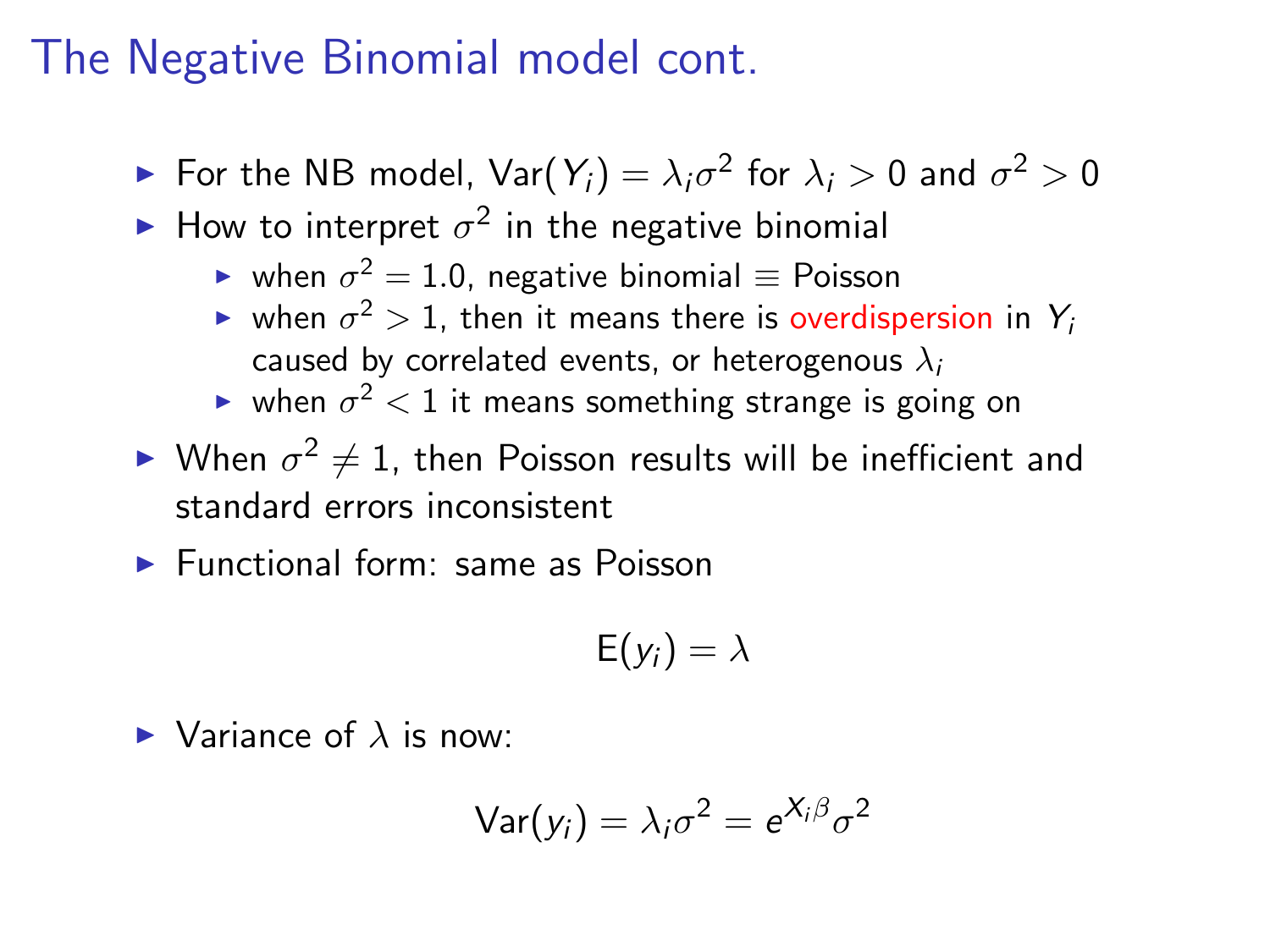### The Negative Binomial model cont.

- $\blacktriangleright$  For the NB model,  $\textsf{Var}(Y_i) = \lambda_i \sigma^2$  for  $\lambda_i > 0$  and  $\sigma^2 > 0$
- $\blacktriangleright$  How to interpret  $\sigma^2$  in the negative binomial
	- ► when  $\sigma^2=1.0$ , negative binomial  $\equiv$  Poisson
	- $\blacktriangleright$  when  $\sigma^2>1$ , then it means there is overdispersion in  $Y_i$ caused by correlated events, or heterogenous  $\lambda_i$
	- $\blacktriangleright$  when  $\sigma^2 < 1$  it means something strange is going on
- $\blacktriangleright$  When  $\sigma^2\neq 1$ , then Poisson results will be inefficient and standard errors inconsistent

 $\blacktriangleright$  Functional form: same as Poisson

$$
\mathsf{E}(y_i)=\lambda
$$

 $\blacktriangleright$  Variance of  $\lambda$  is now:

$$
Var(y_i) = \lambda_i \sigma^2 = e^{X_i \beta} \sigma^2
$$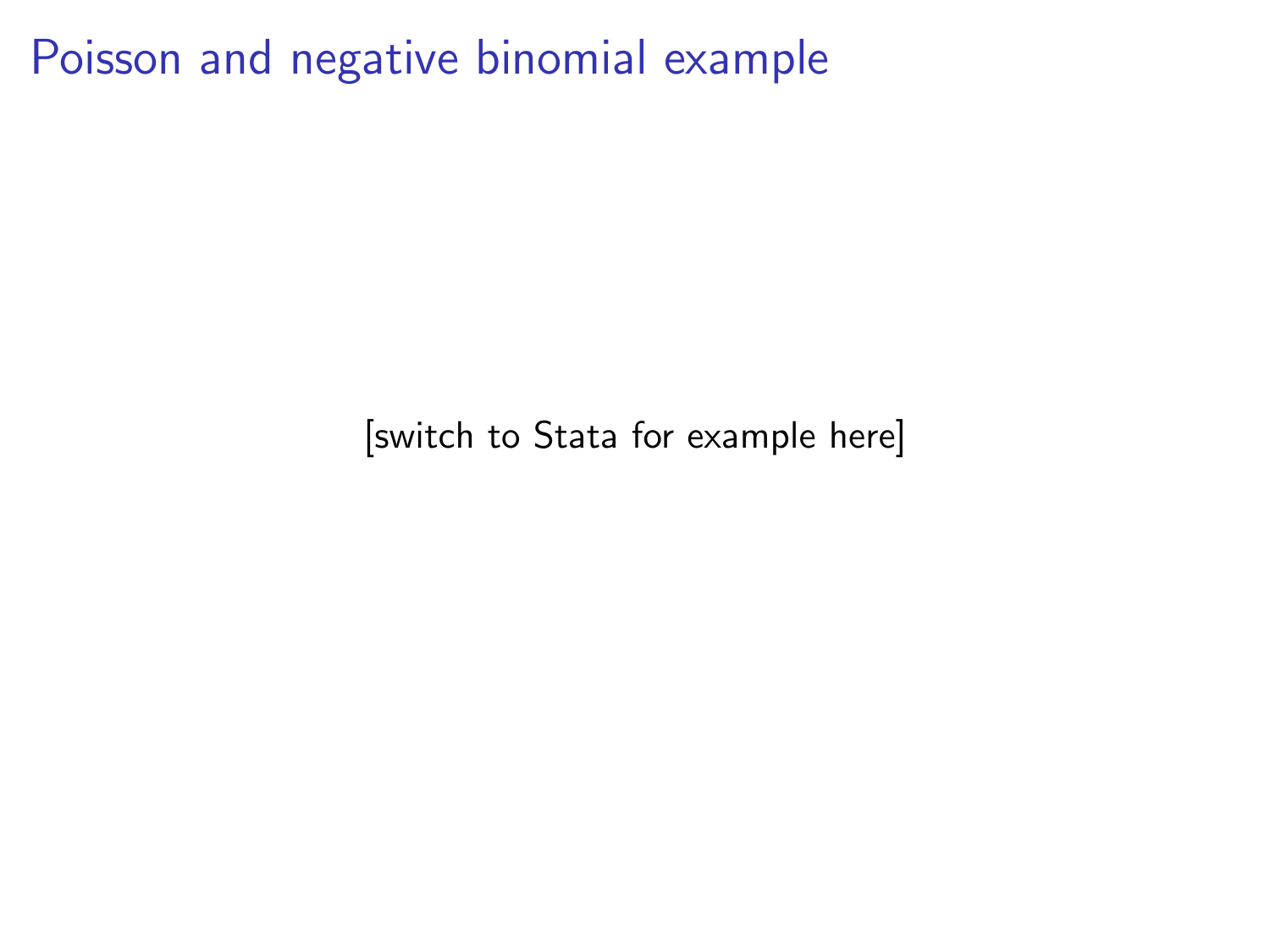Poisson and negative binomial example

[switch to Stata for example here]